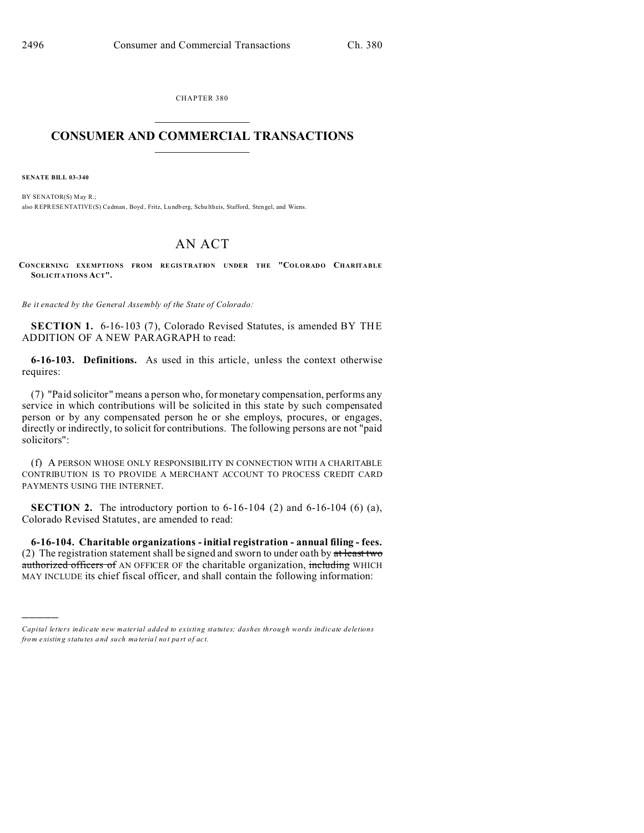CHAPTER 380  $\overline{\phantom{a}}$  , where  $\overline{\phantom{a}}$ 

## **CONSUMER AND COMMERCIAL TRANSACTIONS**  $\_$   $\_$   $\_$   $\_$   $\_$   $\_$   $\_$   $\_$

**SENATE BILL 03-340**

)))))

BY SENATOR(S) May R.; also REPRESENTATIVE(S) Cadman, Boyd , Fritz, Lu ndb erg, Schu ltheis, Stafford, Stengel, and Wiens.

## AN ACT

**CONCERNING EXEMPTIONS FROM REGIS TRATION UNDER THE "COLORADO CHARITABLE SOLICITATIONS ACT".**

*Be it enacted by the General Assembly of the State of Colorado:*

**SECTION 1.** 6-16-103 (7), Colorado Revised Statutes, is amended BY THE ADDITION OF A NEW PARAGRAPH to read:

**6-16-103. Definitions.** As used in this article, unless the context otherwise requires:

(7) "Paid solicitor" means a person who, for monetary compensation, performs any service in which contributions will be solicited in this state by such compensated person or by any compensated person he or she employs, procures, or engages, directly or indirectly, to solicit for contributions. The following persons are not "paid solicitors":

(f) A PERSON WHOSE ONLY RESPONSIBILITY IN CONNECTION WITH A CHARITABLE CONTRIBUTION IS TO PROVIDE A MERCHANT ACCOUNT TO PROCESS CREDIT CARD PAYMENTS USING THE INTERNET.

**SECTION 2.** The introductory portion to 6-16-104 (2) and 6-16-104 (6) (a), Colorado Revised Statutes, are amended to read:

**6-16-104. Charitable organizations - initial registration - annual filing - fees.** (2) The registration statement shall be signed and sworn to under oath by  $at$  least two authorized officers of AN OFFICER OF the charitable organization, including WHICH MAY INCLUDE its chief fiscal officer, and shall contain the following information:

*Capital letters indicate new material added to existing statutes; dashes through words indicate deletions from e xistin g statu tes a nd such ma teria l no t pa rt of ac t.*